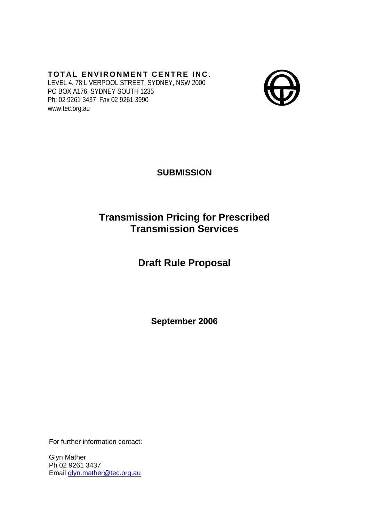# **TOTAL ENVIRONMENT CENTRE INC.**

LEVEL 4, 78 LIVERPOOL STREET, SYDNEY, NSW 2000 PO BOX A176, SYDNEY SOUTH 1235 Ph: 02 9261 3437 Fax 02 9261 3990 www.tec.org.au



**SUBMISSION** 

# **Transmission Pricing for Prescribed Transmission Services**

# **Draft Rule Proposal**

**September 2006** 

For further information contact:

Glyn Mather Ph 02 9261 3437 Email [glyn.mather@tec.org.au](mailto:glyn.mather@tec.org.au)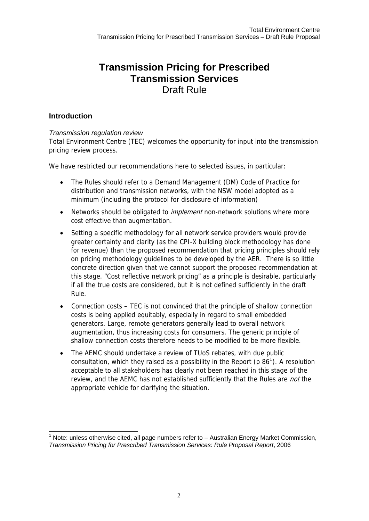## **Transmission Pricing for Prescribed Transmission Services**  Draft Rule

### **Introduction**

#### *Transmission regulation review*

Total Environment Centre (TEC) welcomes the opportunity for input into the transmission pricing review process.

We have restricted our recommendations here to selected issues, in particular:

- The Rules should refer to a Demand Management (DM) Code of Practice for distribution and transmission networks, with the NSW model adopted as a minimum (including the protocol for disclosure of information)
- Networks should be obligated to *implement* non-network solutions where more cost effective than augmentation.
- Setting a specific methodology for all network service providers would provide greater certainty and clarity (as the CPI-X building block methodology has done for revenue) than the proposed recommendation that pricing principles should rely on pricing methodology guidelines to be developed by the AER. There is so little concrete direction given that we cannot support the proposed recommendation at this stage. "Cost reflective network pricing" as a principle is desirable, particularly if all the true costs are considered, but it is not defined sufficiently in the draft Rule.
- Connection costs TEC is not convinced that the principle of shallow connection costs is being applied equitably, especially in regard to small embedded generators. Large, remote generators generally lead to overall network augmentation, thus increasing costs for consumers. The generic principle of shallow connection costs therefore needs to be modified to be more flexible.
- The AEMC should undertake a review of TUoS rebates, with due public consultation, which they raised as a possibility in the Report ( $p 86^1$  $p 86^1$ ). A resolution acceptable to all stakeholders has clearly not been reached in this stage of the review, and the AEMC has not established sufficiently that the Rules are *not* the appropriate vehicle for clarifying the situation.

<span id="page-1-0"></span> $\overline{\phantom{a}}$  $1$  Note: unless otherwise cited, all page numbers refer to  $-$  Australian Energy Market Commission, *Transmission Pricing for Prescribed Transmission Services: Rule Proposal Report*, 2006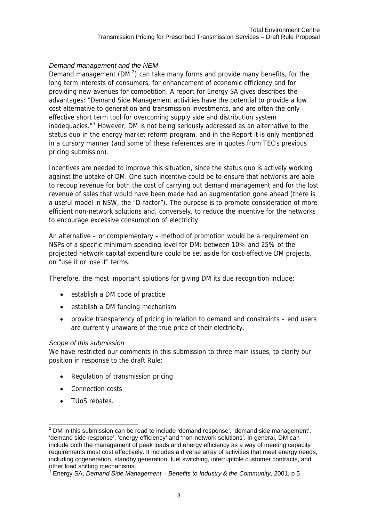#### *Demand management and the NEM*

Demand management (DM $<sup>2</sup>$  $<sup>2</sup>$  $<sup>2</sup>$ ) can take many forms and provide many benefits, for the</sup> long term interests of consumers, for enhancement of economic efficiency and for providing new avenues for competition. A report for Energy SA gives describes the advantages: "Demand Side Management activities have the potential to provide a low cost alternative to generation and transmission investments, and are often the only effective short term tool for overcoming supply side and distribution system inadequacies."<sup>[3](#page-2-1)</sup> However, DM is not being seriously addressed as an alternative to the status quo in the energy market reform program, and in the Report it is only mentioned in a cursory manner (and some of these references are in quotes from TEC's previous pricing submission).

Incentives are needed to improve this situation, since the status quo is actively working against the uptake of DM. One such incentive could be to ensure that networks are able to recoup revenue for both the cost of carrying out demand management and for the lost revenue of sales that would have been made had an augmentation gone ahead (there is a useful model in NSW, the "D-factor"). The purpose is to promote consideration of more efficient non-network solutions and, conversely, to reduce the incentive for the networks to encourage excessive consumption of electricity.

An alternative – or complementary – method of promotion would be a requirement on NSPs of a specific minimum spending level for DM: between 10% and 25% of the projected network capital expenditure could be set aside for cost-effective DM projects, on "use it or lose it" terms.

Therefore, the most important solutions for giving DM its due recognition include:

- establish a DM code of practice
- establish a DM funding mechanism
- provide transparency of pricing in relation to demand and constraints end users are currently unaware of the true price of their electricity.

#### *Scope of this submission*

We have restricted our comments in this submission to three main issues, to clarify our position in response to the draft Rule:

- Regulation of transmission pricing
- Connection costs
- TUoS rebates.

<span id="page-2-0"></span> 2 DM in this submission can be read to include 'demand response', 'demand side management', 'demand side response', 'energy efficiency' and 'non-network solutions'. In general, DM can include both the management of peak loads and energy efficiency as a way of meeting capacity requirements most cost effectively. It includes a diverse array of activities that meet energy needs, including cogeneration, standby generation, fuel switching, interruptible customer contracts, and other load shifting mechanisms.

<span id="page-2-1"></span><sup>3</sup> Energy SA, *Demand Side Management – Benefits to Industry & the Community*, 2001, p 5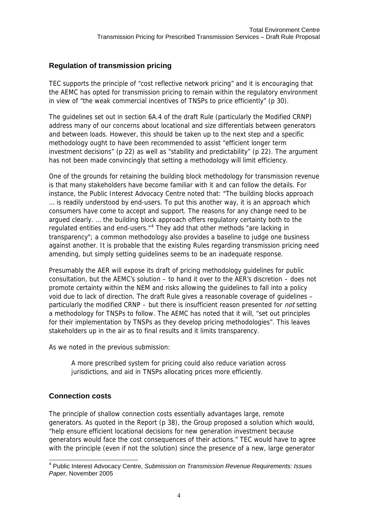### **Regulation of transmission pricing**

TEC supports the principle of "cost reflective network pricing" and it is encouraging that the AEMC has opted for transmission pricing to remain within the regulatory environment in view of "the weak commercial incentives of TNSPs to price efficiently" (p 30).

The guidelines set out in section 6A.4 of the draft Rule (particularly the Modified CRNP) address many of our concerns about locational and size differentials between generators and between loads. However, this should be taken up to the next step and a specific methodology ought to have been recommended to assist "efficient longer term investment decisions" (p 22) as well as "stability and predictability" (p 22). The argument has not been made convincingly that setting a methodology will limit efficiency.

One of the grounds for retaining the building block methodology for transmission revenue is that many stakeholders have become familiar with it and can follow the details. For instance, the Public Interest Advocacy Centre noted that: "The building blocks approach … is readily understood by end-users. To put this another way, it is an approach which consumers have come to accept and support. The reasons for any change need to be argued clearly. … the building block approach offers regulatory certainty both to the regulated entities and end-users."<sup>[4](#page-3-0)</sup> They add that other methods "are lacking in transparency"; a common methodology also provides a baseline to judge one business against another. It is probable that the existing Rules regarding transmission pricing need amending, but simply setting guidelines seems to be an inadequate response.

Presumably the AER will expose its draft of pricing methodology guidelines for public consultation, but the AEMC's solution – to hand it over to the AER's discretion – does not promote certainty within the NEM and risks allowing the guidelines to fall into a policy void due to lack of direction. The draft Rule gives a reasonable coverage of guidelines – particularly the modified CRNP – but there is insufficient reason presented for *not* setting a methodology for TNSPs to follow. The AEMC has noted that it will, "set out principles for their implementation by TNSPs as they develop pricing methodologies". This leaves stakeholders up in the air as to final results and it limits transparency.

As we noted in the previous submission:

A more prescribed system for pricing could also reduce variation across jurisdictions, and aid in TNSPs allocating prices more efficiently.

#### **Connection costs**

The principle of shallow connection costs essentially advantages large, remote generators. As quoted in the Report (p 38), the Group proposed a solution which would, "help ensure efficient locational decisions for new generation investment because generators would face the cost consequences of their actions." TEC would have to agree with the principle (even if not the solution) since the presence of a new, large generator

<span id="page-3-0"></span> 4 Public Interest Advocacy Centre, *Submission on Transmission Revenue Requirements: Issues Paper,* November 2005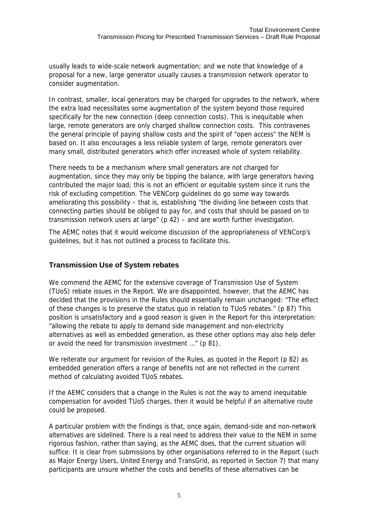usually leads to wide-scale network augmentation; and we note that knowledge of a proposal for a new, large generator usually causes a transmission network operator to consider augmentation.

In contrast, smaller, local generators may be charged for upgrades to the network, where the extra load necessitates some augmentation of the system beyond those required specifically for the new connection (deep connection costs). This is inequitable when large, remote generators are only charged shallow connection costs. This contravenes the general principle of paying shallow costs and the spirit of "open access" the NEM is based on. It also encourages a less reliable system of large, remote generators over many small, distributed generators which offer increased whole of system reliability.

There needs to be a mechanism where small generators are not charged for augmentation, since they may only be tipping the balance, with large generators having contributed the major load; this is not an efficient or equitable system since it runs the risk of excluding competition. The VENCorp guidelines do go some way towards ameliorating this possibility – that is, establishing "the dividing line between costs that connecting parties should be obliged to pay for, and costs that should be passed on to transmission network users at large" (p 42) – and are worth further investigation.

The AEMC notes that it would welcome discussion of the appropriateness of VENCorp's guidelines, but it has not outlined a process to facilitate this.

## **Transmission Use of System rebates**

We commend the AEMC for the extensive coverage of Transmission Use of System (TUoS) rebate issues in the Report. We are disappointed, however, that the AEMC has decided that the provisions in the Rules should essentially remain unchanged: "The effect of these changes is to preserve the status quo in relation to TUoS rebates." (p 87) This position is unsatisfactory and a good reason is given in the Report for this interpretation: "allowing the rebate to apply to demand side management and non-electricity alternatives as well as embedded generation, as these other options may also help defer or avoid the need for transmission investment …" (p 81).

We reiterate our argument for revision of the Rules, as quoted in the Report (p 82) as embedded generation offers a range of benefits not are not reflected in the current method of calculating avoided TUoS rebates.

If the AEMC considers that a change in the Rules is not the way to amend inequitable compensation for avoided TUoS charges, then it would be helpful if an alternative route could be proposed.

A particular problem with the findings is that, once again, demand-side and non-network alternatives are sidelined. There is a real need to address their value to the NEM in some rigorous fashion, rather than saying, as the AEMC does, that the current situation will suffice. It is clear from submissions by other organisations referred to in the Report (such as Major Energy Users, United Energy and TransGrid, as reported in Section 7) that many participants are unsure whether the costs and benefits of these alternatives can be